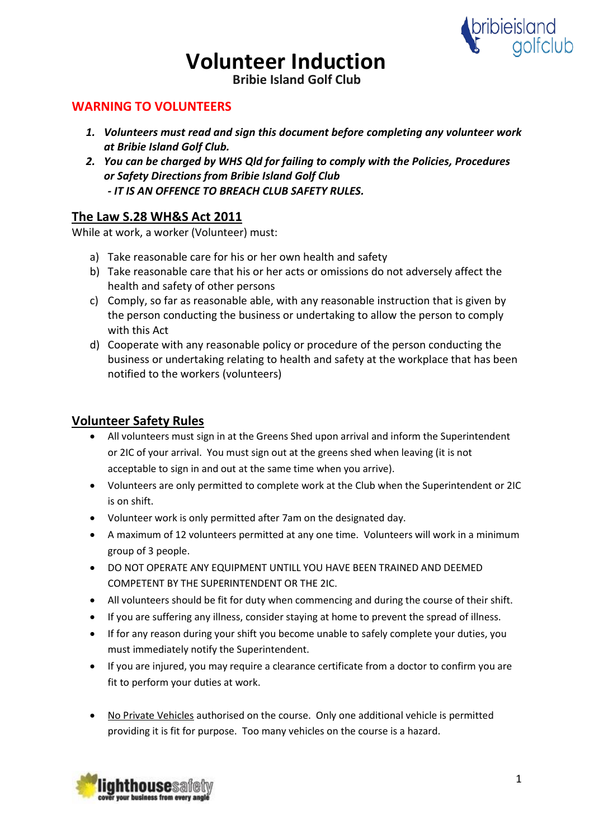

**Bribie Island Golf Club**

## **WARNING TO VOLUNTEERS**

- *1. Volunteers must read and sign this document before completing any volunteer work at Bribie Island Golf Club.*
- *2. You can be charged by WHS Qld for failing to comply with the Policies, Procedures or Safety Directions from Bribie Island Golf Club - IT IS AN OFFENCE TO BREACH CLUB SAFETY RULES.*

## **The Law S.28 WH&S Act 2011**

While at work, a worker (Volunteer) must:

- a) Take reasonable care for his or her own health and safety
- b) Take reasonable care that his or her acts or omissions do not adversely affect the health and safety of other persons
- c) Comply, so far as reasonable able, with any reasonable instruction that is given by the person conducting the business or undertaking to allow the person to comply with this Act
- d) Cooperate with any reasonable policy or procedure of the person conducting the business or undertaking relating to health and safety at the workplace that has been notified to the workers (volunteers)

## **Volunteer Safety Rules**

- All volunteers must sign in at the Greens Shed upon arrival and inform the Superintendent or 2IC of your arrival. You must sign out at the greens shed when leaving (it is not acceptable to sign in and out at the same time when you arrive).
- Volunteers are only permitted to complete work at the Club when the Superintendent or 2IC is on shift.
- Volunteer work is only permitted after 7am on the designated day.
- A maximum of 12 volunteers permitted at any one time. Volunteers will work in a minimum group of 3 people.
- DO NOT OPERATE ANY EQUIPMENT UNTILL YOU HAVE BEEN TRAINED AND DEEMED COMPETENT BY THE SUPERINTENDENT OR THE 2IC.
- All volunteers should be fit for duty when commencing and during the course of their shift.
- If you are suffering any illness, consider staying at home to prevent the spread of illness.
- If for any reason during your shift you become unable to safely complete your duties, you must immediately notify the Superintendent.
- If you are injured, you may require a clearance certificate from a doctor to confirm you are fit to perform your duties at work.
- No Private Vehicles authorised on the course. Only one additional vehicle is permitted providing it is fit for purpose. Too many vehicles on the course is a hazard.

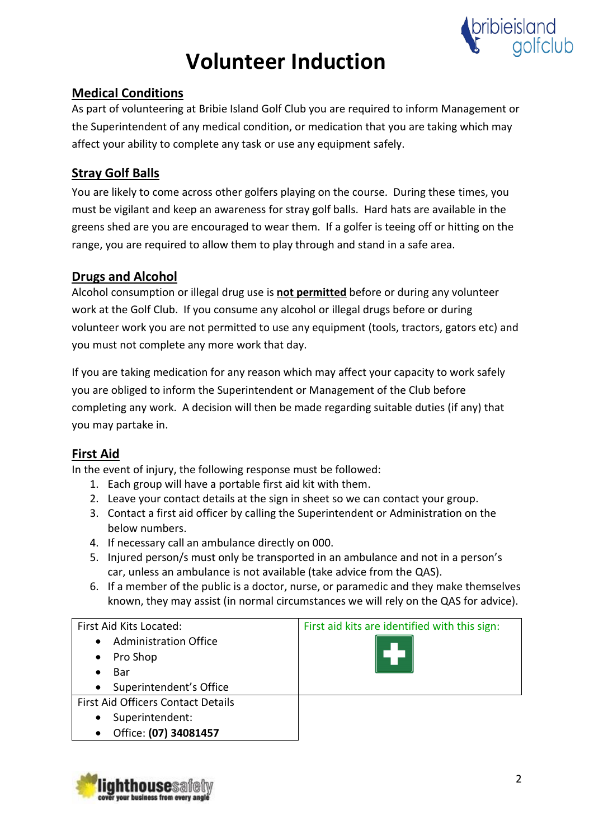

## **Medical Conditions**

As part of volunteering at Bribie Island Golf Club you are required to inform Management or the Superintendent of any medical condition, or medication that you are taking which may affect your ability to complete any task or use any equipment safely.

## **Stray Golf Balls**

You are likely to come across other golfers playing on the course. During these times, you must be vigilant and keep an awareness for stray golf balls. Hard hats are available in the greens shed are you are encouraged to wear them. If a golfer is teeing off or hitting on the range, you are required to allow them to play through and stand in a safe area.

## **Drugs and Alcohol**

Alcohol consumption or illegal drug use is **not permitted** before or during any volunteer work at the Golf Club. If you consume any alcohol or illegal drugs before or during volunteer work you are not permitted to use any equipment (tools, tractors, gators etc) and you must not complete any more work that day.

If you are taking medication for any reason which may affect your capacity to work safely you are obliged to inform the Superintendent or Management of the Club before completing any work. A decision will then be made regarding suitable duties (if any) that you may partake in.

## **First Aid**

In the event of injury, the following response must be followed:

- 1. Each group will have a portable first aid kit with them.
- 2. Leave your contact details at the sign in sheet so we can contact your group.
- 3. Contact a first aid officer by calling the Superintendent or Administration on the below numbers.
- 4. If necessary call an ambulance directly on 000.
- 5. Injured person/s must only be transported in an ambulance and not in a person's car, unless an ambulance is not available (take advice from the QAS).
- 6. If a member of the public is a doctor, nurse, or paramedic and they make themselves known, they may assist (in normal circumstances we will rely on the QAS for advice).

| First Aid Kits Located:                   | First aid kits are identified with this sign: |  |
|-------------------------------------------|-----------------------------------------------|--|
| <b>Administration Office</b><br>$\bullet$ |                                               |  |
| Pro Shop<br>$\bullet$                     |                                               |  |
| Bar                                       |                                               |  |
| Superintendent's Office<br>$\bullet$      |                                               |  |
| <b>First Aid Officers Contact Details</b> |                                               |  |
| Superintendent:<br>$\bullet$              |                                               |  |
| Office: (07) 34081457<br>$\bullet$        |                                               |  |

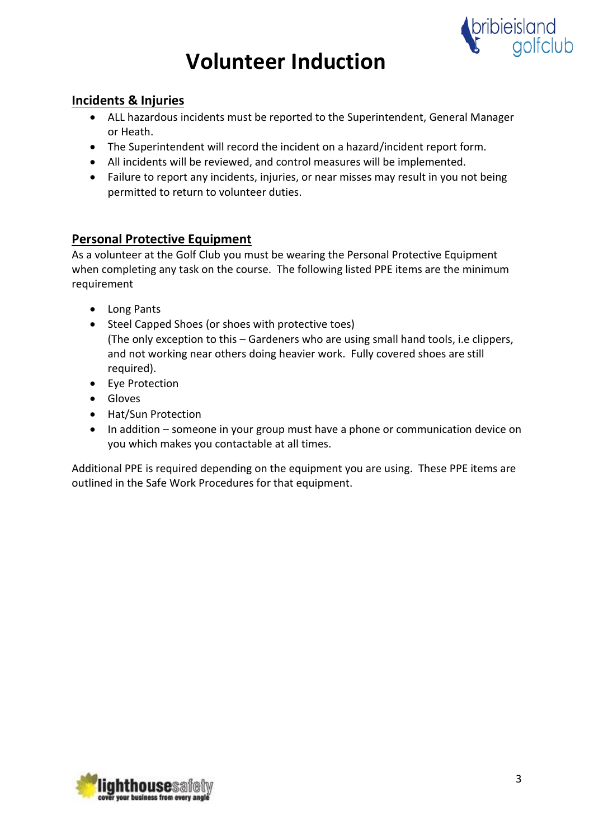

## **Incidents & Injuries**

- ALL hazardous incidents must be reported to the Superintendent, General Manager or Heath.
- The Superintendent will record the incident on a hazard/incident report form.
- All incidents will be reviewed, and control measures will be implemented.
- Failure to report any incidents, injuries, or near misses may result in you not being permitted to return to volunteer duties.

## **Personal Protective Equipment**

As a volunteer at the Golf Club you must be wearing the Personal Protective Equipment when completing any task on the course. The following listed PPE items are the minimum requirement

- Long Pants
- Steel Capped Shoes (or shoes with protective toes) (The only exception to this – Gardeners who are using small hand tools, i.e clippers, and not working near others doing heavier work. Fully covered shoes are still required).
- Eye Protection
- Gloves
- Hat/Sun Protection
- In addition someone in your group must have a phone or communication device on you which makes you contactable at all times.

Additional PPE is required depending on the equipment you are using. These PPE items are outlined in the Safe Work Procedures for that equipment.

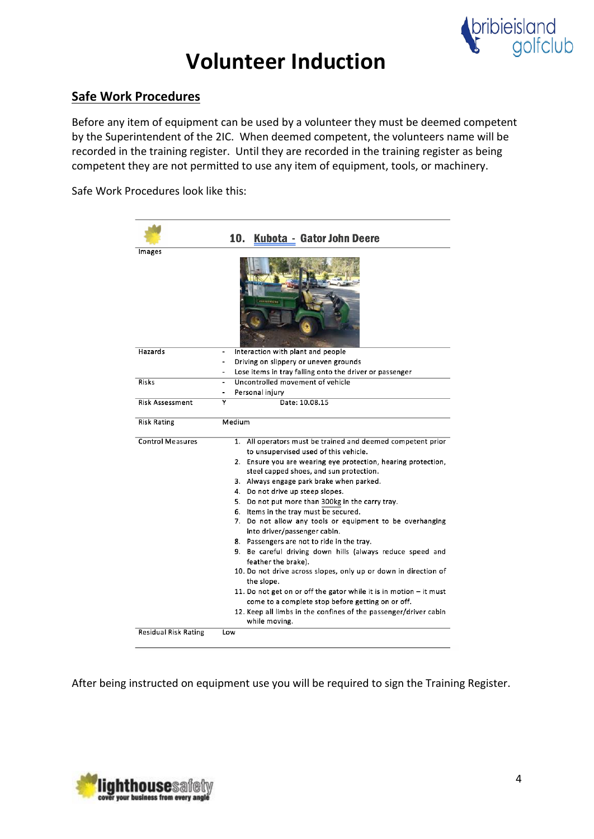

## **Safe Work Procedures**

Before any item of equipment can be used by a volunteer they must be deemed competent by the Superintendent of the 2IC. When deemed competent, the volunteers name will be recorded in the training register. Until they are recorded in the training register as being competent they are not permitted to use any item of equipment, tools, or machinery.

Safe Work Procedures look like this:

|                         | 10.<br>Kubota - Gator John Deere                                                                                      |
|-------------------------|-----------------------------------------------------------------------------------------------------------------------|
| Images                  |                                                                                                                       |
|                         |                                                                                                                       |
| Hazards                 | Interaction with plant and people                                                                                     |
|                         | Driving on slippery or uneven grounds<br>$\overline{a}$                                                               |
|                         | Lose items in tray falling onto the driver or passenger                                                               |
| <b>Risks</b>            | Uncontrolled movement of vehicle                                                                                      |
|                         | Personal injury                                                                                                       |
| <b>Risk Assessment</b>  | Date: 10.08.15<br>٧                                                                                                   |
| <b>Risk Rating</b>      | Medium                                                                                                                |
| <b>Control Measures</b> | 1. All operators must be trained and deemed competent prior<br>to unsupervised used of this vehicle.                  |
|                         | 2. Ensure you are wearing eye protection, hearing protection,<br>steel capped shoes, and sun protection.              |
|                         | 3. Always engage park brake when parked.                                                                              |
|                         | 4. Do not drive up steep slopes.                                                                                      |
|                         | 5. Do not put more than 300kg in the carry tray.                                                                      |
|                         | 6. Items in the tray must be secured.                                                                                 |
|                         | 7. Do not allow any tools or equipment to be overhanging<br>into driver/passenger cabin.                              |
|                         | 8. Passengers are not to ride in the tray.                                                                            |
|                         | 9. Be careful driving down hills (always reduce speed and<br>feather the brake).                                      |
|                         | 10. Do not drive across slopes, only up or down in direction of<br>the slope.                                         |
|                         | 11. Do not get on or off the gator while it is in motion – it must                                                    |
|                         | come to a complete stop before getting on or off.<br>12. Keep all limbs in the confines of the passenger/driver cabin |
|                         | while moving.                                                                                                         |

After being instructed on equipment use you will be required to sign the Training Register.

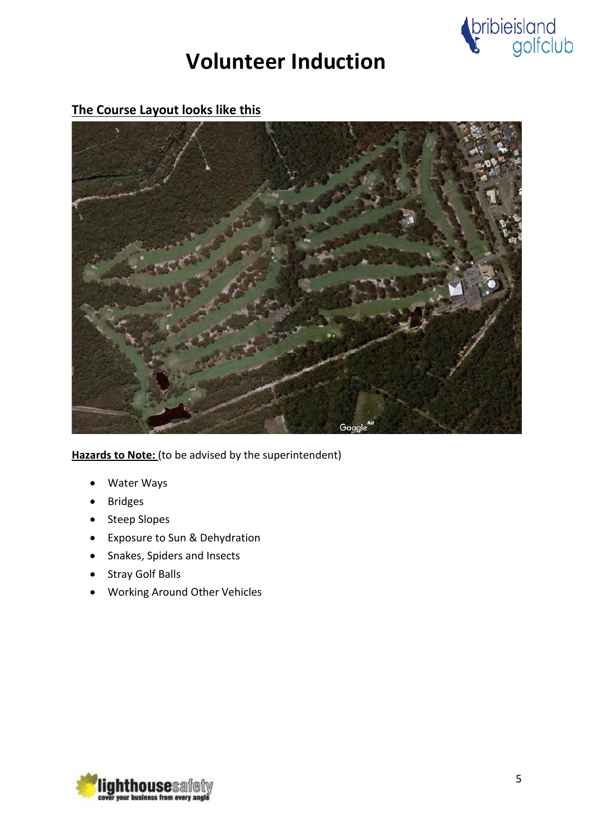

## **The Course Layout looks like this**



**Hazards to Note:** (to be advised by the superintendent)

- Water Ways
- **Bridges**
- Steep Slopes
- Exposure to Sun & Dehydration
- Snakes, Spiders and Insects
- Stray Golf Balls
- Working Around Other Vehicles

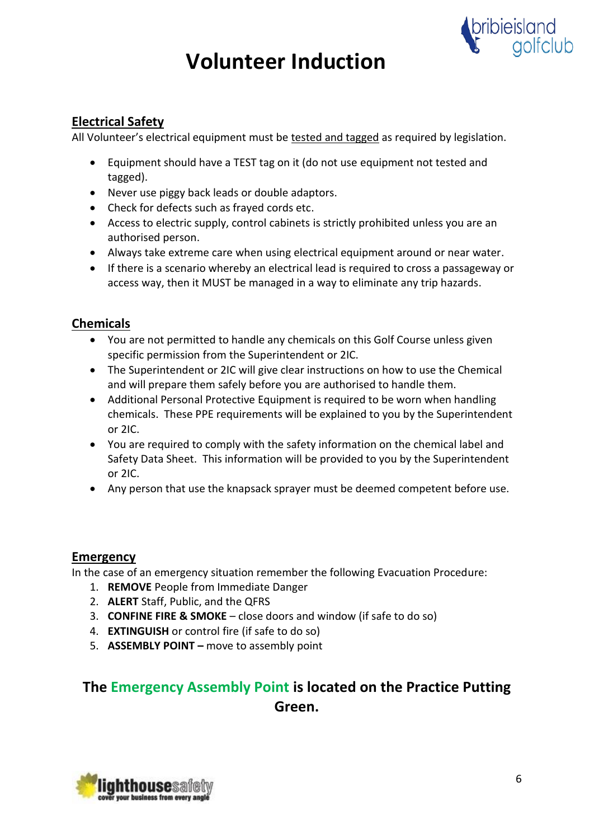

## **Electrical Safety**

All Volunteer's electrical equipment must be tested and tagged as required by legislation.

- Equipment should have a TEST tag on it (do not use equipment not tested and tagged).
- Never use piggy back leads or double adaptors.
- Check for defects such as frayed cords etc.
- Access to electric supply, control cabinets is strictly prohibited unless you are an authorised person.
- Always take extreme care when using electrical equipment around or near water.
- If there is a scenario whereby an electrical lead is required to cross a passageway or access way, then it MUST be managed in a way to eliminate any trip hazards.

## **Chemicals**

- You are not permitted to handle any chemicals on this Golf Course unless given specific permission from the Superintendent or 2IC.
- The Superintendent or 2IC will give clear instructions on how to use the Chemical and will prepare them safely before you are authorised to handle them.
- Additional Personal Protective Equipment is required to be worn when handling chemicals. These PPE requirements will be explained to you by the Superintendent or 2IC.
- You are required to comply with the safety information on the chemical label and Safety Data Sheet. This information will be provided to you by the Superintendent or 2IC.
- Any person that use the knapsack sprayer must be deemed competent before use.

## **Emergency**

In the case of an emergency situation remember the following Evacuation Procedure:

- 1. **REMOVE** People from Immediate Danger
- 2. **ALERT** Staff, Public, and the QFRS
- 3. **CONFINE FIRE & SMOKE** close doors and window (if safe to do so)
- 4. **EXTINGUISH** or control fire (if safe to do so)
- 5. **ASSEMBLY POINT –** move to assembly point

## **The Emergency Assembly Point is located on the Practice Putting Green.**

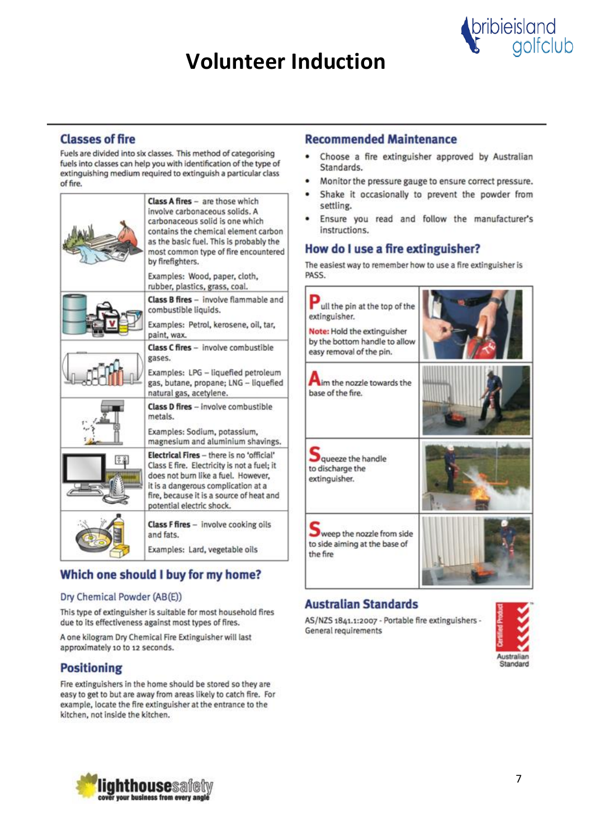

### **Classes of fire**

Fuels are divided into six classes. This method of categorising fuels into classes can help you with identification of the type of extinguishing medium required to extinguish a particular class of fire.

| <b>Class A fires</b> - are those which<br>involve carbonaceous solids. A<br>carbonaceous solid is one which<br>contains the chemical element carbon<br>as the basic fuel. This is probably the<br>most common type of fire encountered<br>by firefighters. |
|------------------------------------------------------------------------------------------------------------------------------------------------------------------------------------------------------------------------------------------------------------|
| Examples: Wood, paper, cloth,<br>rubber, plastics, grass, coal.                                                                                                                                                                                            |
| Class B fires - involve flammable and<br>combustible liquids.<br>Examples: Petrol, kerosene, oil, tar,<br>paint, wax.                                                                                                                                      |
| Class C fires - involve combustible<br>gases.<br>Examples: LPG - liquefied petroleum<br>gas, butane, propane; LNG - liquefied<br>natural gas, acetylene.                                                                                                   |
| Class D fires - involve combustible<br>metals.<br>Examples: Sodium, potassium,<br>magnesium and aluminium shavings.                                                                                                                                        |
| Electrical Fires - there is no 'official'<br>Class E fire. Electricity is not a fuel; it<br>does not burn like a fuel. However,<br>it is a dangerous complication at a<br>fire, because it is a source of heat and<br>potential electric shock.            |
| <b>Class F fires</b> - involve cooking oils<br>and fats.<br>Examples: Lard, vegetable oils                                                                                                                                                                 |

## Which one should I buy for my home?

#### Dry Chemical Powder (AB(E))

This type of extinguisher is suitable for most household fires due to its effectiveness against most types of fires.

A one kilogram Dry Chemical Fire Extinguisher will last approximately 10 to 12 seconds.

## **Positioning**

Fire extinguishers in the home should be stored so they are easy to get to but are away from areas likely to catch fire. For example, locate the fire extinguisher at the entrance to the kitchen, not inside the kitchen.

### **Recommended Maintenance**

- Choose a fire extinguisher approved by Australian Standards.
- Monitor the pressure gauge to ensure correct pressure.  $\bullet$
- Shake it occasionally to prevent the powder from ò settling.
- Ensure you read and follow the manufacturer's ٠ instructions.

### How do I use a fire extinguisher?

The easiest way to remember how to use a fire extinguisher is PASS.



### **Australian Standards**

AS/NZS 1841.1:2007 - Portable fire extinguishers -General requirements



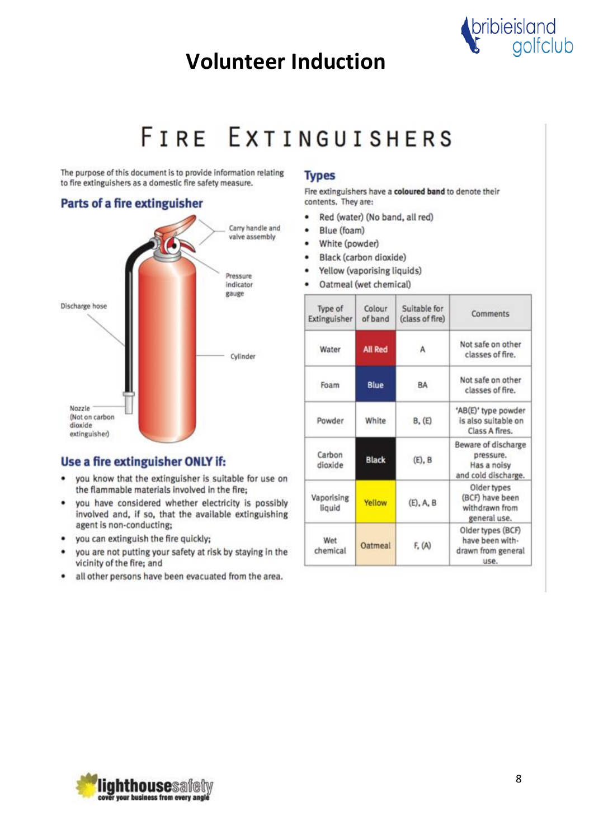

# FIRE EXTINGUISHERS

The purpose of this document is to provide information relating to fire extinguishers as a domestic fire safety measure.

### **Parts of a fire extinguisher**



### Use a fire extinguisher ONLY if:

- . you know that the extinguisher is suitable for use on the flammable materials involved in the fire;
- you have considered whether electricity is possibly ٠ involved and, if so, that the available extinguishing agent is non-conducting;
- you can extinguish the fire quickly; ٠
- you are not putting your safety at risk by staying in the vicinity of the fire; and
- all other persons have been evacuated from the area.  $\bullet$

#### **Types**

Fire extinguishers have a coloured band to denote their contents. They are:

- Red (water) (No band, all red) ٠
- Blue (foam)  $\bullet$
- White (powder)
- Black (carbon dioxide)
- Yellow (vaporising liquids) ٠
- Oatmeal (wet chemical)  $\bullet$

| Type of<br>Extinguisher | Colour<br>of band | Suitable for<br>(class of fire) | Comments                                                               |
|-------------------------|-------------------|---------------------------------|------------------------------------------------------------------------|
| Water                   | <b>All Red</b>    | А                               | Not safe on other<br>classes of fire.                                  |
| Foam                    | Blue              | BA                              | Not safe on other<br>classes of fire.                                  |
| Powder                  | White             | B, (E)                          | 'AB(E)' type powder<br>is also suitable on<br>Class A fires.           |
| Carbon<br>dioxide       | <b>Black</b>      | $(E)$ , $B$                     | Beware of discharge<br>pressure.<br>Has a noisy<br>and cold discharge. |
| Vaporising<br>liquid    | Yellow            | $(E)$ , A, B                    | Older types<br>(BCF) have been<br>withdrawn from<br>general use.       |
| Wet<br>chemical         | Oatmeal           | F. (A)                          | Older types (BCF)<br>have been with-<br>drawn from general<br>use.     |